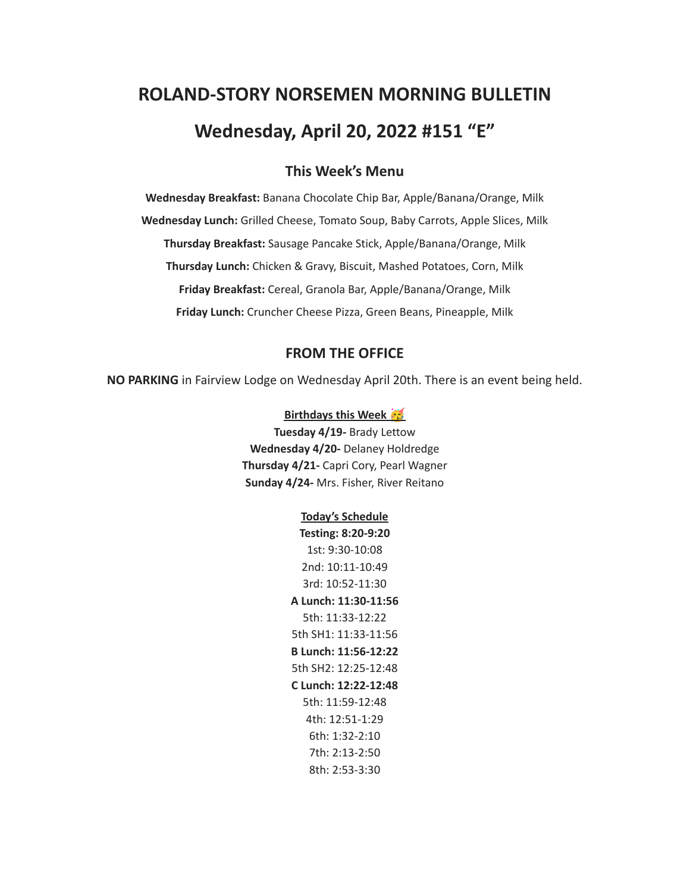# **ROLAND-STORY NORSEMEN MORNING BULLETIN Wednesday, April 20, 2022 #151 "E"**

## **This Week's Menu**

**Wednesday Breakfast:** Banana Chocolate Chip Bar, Apple/Banana/Orange, Milk **Wednesday Lunch:** Grilled Cheese, Tomato Soup, Baby Carrots, Apple Slices, Milk **Thursday Breakfast:** Sausage Pancake Stick, Apple/Banana/Orange, Milk **Thursday Lunch:** Chicken & Gravy, Biscuit, Mashed Potatoes, Corn, Milk **Friday Breakfast:** Cereal, Granola Bar, Apple/Banana/Orange, Milk **Friday Lunch:** Cruncher Cheese Pizza, Green Beans, Pineapple, Milk

## **FROM THE OFFICE**

**NO PARKING** in Fairview Lodge on Wednesday April 20th. There is an event being held.

#### **Birthdays this Week**

**Tuesday 4/19-** Brady Lettow **Wednesday 4/20-** Delaney Holdredge **Thursday 4/21-** Capri Cory, Pearl Wagner **Sunday 4/24-** Mrs. Fisher, River Reitano

#### **Today's Schedule**

**Testing: 8:20-9:20** 1st: 9:30-10:08 2nd: 10:11-10:49 3rd: 10:52-11:30 **A Lunch: 11:30-11:56** 5th: 11:33-12:22 5th SH1: 11:33-11:56 **B Lunch: 11:56-12:22** 5th SH2: 12:25-12:48 **C Lunch: 12:22-12:48** 5th: 11:59-12:48 4th: 12:51-1:29 6th: 1:32-2:10 7th: 2:13-2:50 8th: 2:53-3:30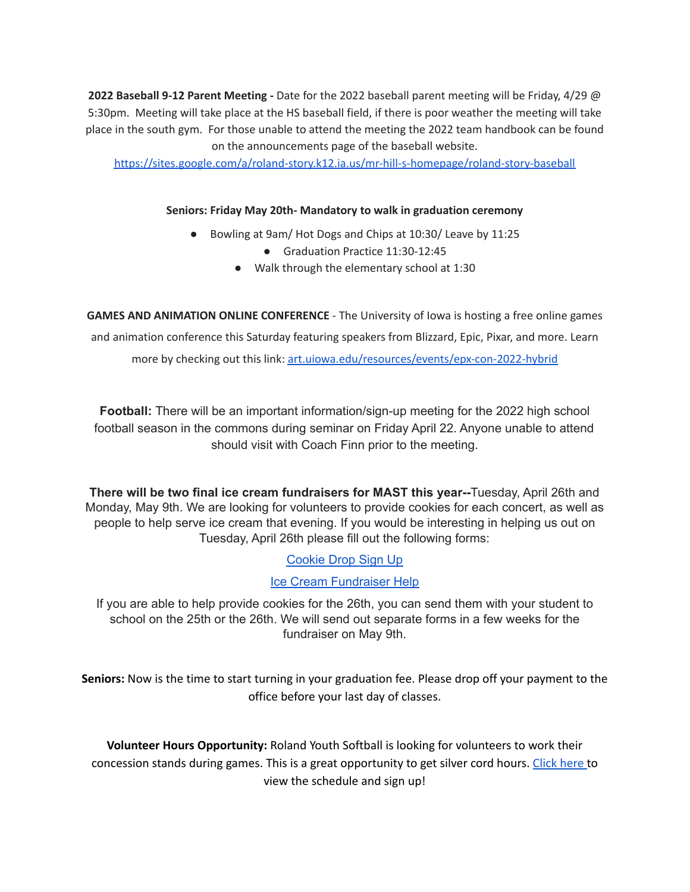**2022 Baseball 9-12 Parent Meeting -** Date for the 2022 baseball parent meeting will be Friday, 4/29 @ 5:30pm. Meeting will take place at the HS baseball field, if there is poor weather the meeting will take place in the south gym. For those unable to attend the meeting the 2022 team handbook can be found on the announcements page of the baseball website.

<https://sites.google.com/a/roland-story.k12.ia.us/mr-hill-s-homepage/roland-story-baseball>

### **Seniors: Friday May 20th- Mandatory to walk in graduation ceremony**

- Bowling at 9am/ Hot Dogs and Chips at 10:30/ Leave by 11:25
	- Graduation Practice 11:30-12:45
	- Walk through the elementary school at 1:30

**GAMES AND ANIMATION ONLINE CONFERENCE** - The University of Iowa is hosting a free online games and animation conference this Saturday featuring speakers from Blizzard, Epic, Pixar, and more. Learn more by checking out this link: [art.uiowa.edu/resources/events/epx-con-2022-hybrid](http://art.uiowa.edu/resources/events/epx-con-2022-hybrid)

**Football:** There will be an important information/sign-up meeting for the 2022 high school football season in the commons during seminar on Friday April 22. Anyone unable to attend should visit with Coach Finn prior to the meeting.

**There will be two final ice cream fundraisers for MAST this year--**Tuesday, April 26th and Monday, May 9th. We are looking for volunteers to provide cookies for each concert, as well as people to help serve ice cream that evening. If you would be interesting in helping us out on Tuesday, April 26th please fill out the following forms:

[Cookie](https://www.signupgenius.com/go/4090c45acac2ba31-rsmast2) Drop Sign Up

## Ice Cream [Fundraiser](https://www.signupgenius.com/go/4090c45acac2ba31-rsmast3) Help

If you are able to help provide cookies for the 26th, you can send them with your student to school on the 25th or the 26th. We will send out separate forms in a few weeks for the fundraiser on May 9th.

**Seniors:** Now is the time to start turning in your graduation fee. Please drop off your payment to the office before your last day of classes.

**Volunteer Hours Opportunity:** Roland Youth Softball is looking for volunteers to work their concession stands during games. This is a great opportunity to get silver cord hours. [Click](https://www.signupgenius.com/go/70a094facac2aa0f85-roland1) here to view the schedule and sign up!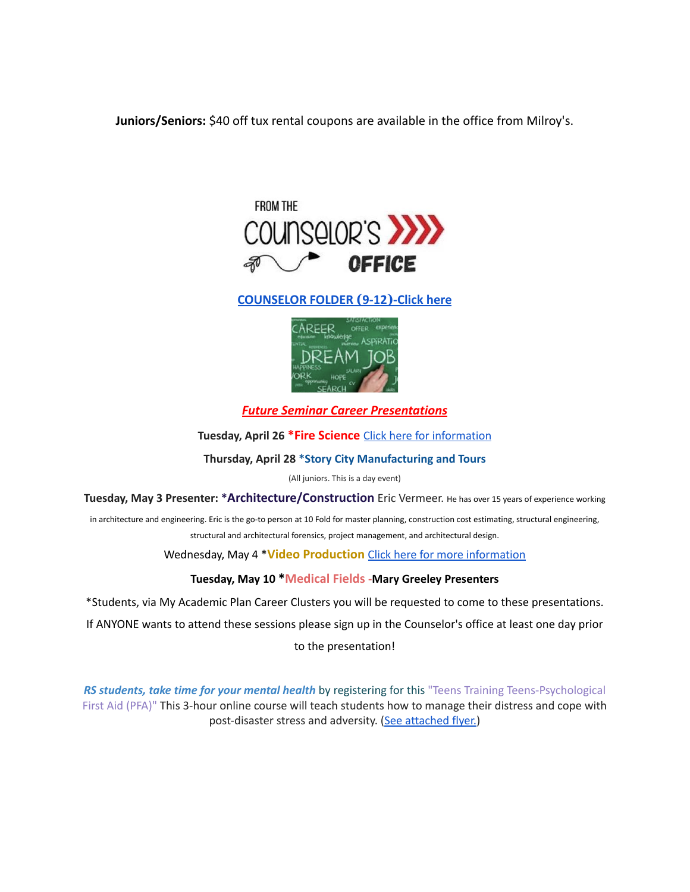**Juniors/Seniors:** \$40 off tux rental coupons are available in the office from Milroy's.



## **[COUNSELOR FOLDER](https://docs.google.com/document/d/1vmwczNPbDzXe9vFaG5LJMQ7NYDv-i4oQJHybqA65TUc/edit?usp=sharing) (9-12)-Click here**



*Future Seminar Career Presentations*

**Tuesday, April 26 \*Fire Science** Click here for [information](https://www.dmacc.edu/programs/fire/Pages/welcome.aspx)

**Thursday, April 28 \*Story City Manufacturing and Tours**

(All juniors. This is a day event)

**Tuesday, May 3 Presenter: \*Architecture/Construction** Eric Vermeer. He has over <sup>15</sup> years of experience working

in architecture and engineering. Eric is the go-to person at 10 Fold for master planning, construction cost estimating, structural engineering, structural and architectural forensics, project management, and architectural design.

Wednesday, May 4 \***Video Production** Click here for more [information](https://www.dmacc.edu/programs/video/Pages/welcome.aspx)

#### **Tuesday, May 10 \*Medical Fields -Mary Greeley Presenters**

\*Students, via My Academic Plan Career Clusters you will be requested to come to these presentations.

If ANYONE wants to attend these sessions please sign up in the Counselor's office at least one day prior

to the presentation!

*RS students, take time for your mental health* by registering for this "Teens Training Teens-Psychological First Aid (PFA)" This 3-hour online course will teach students how to manage their distress and cope with post-disaster stress and adversity. (See [attached](https://drive.google.com/file/d/18ZxsDgb9mTVccDP5AD1ejwqoEi1MNUwE/view?usp=sharing) flyer.)